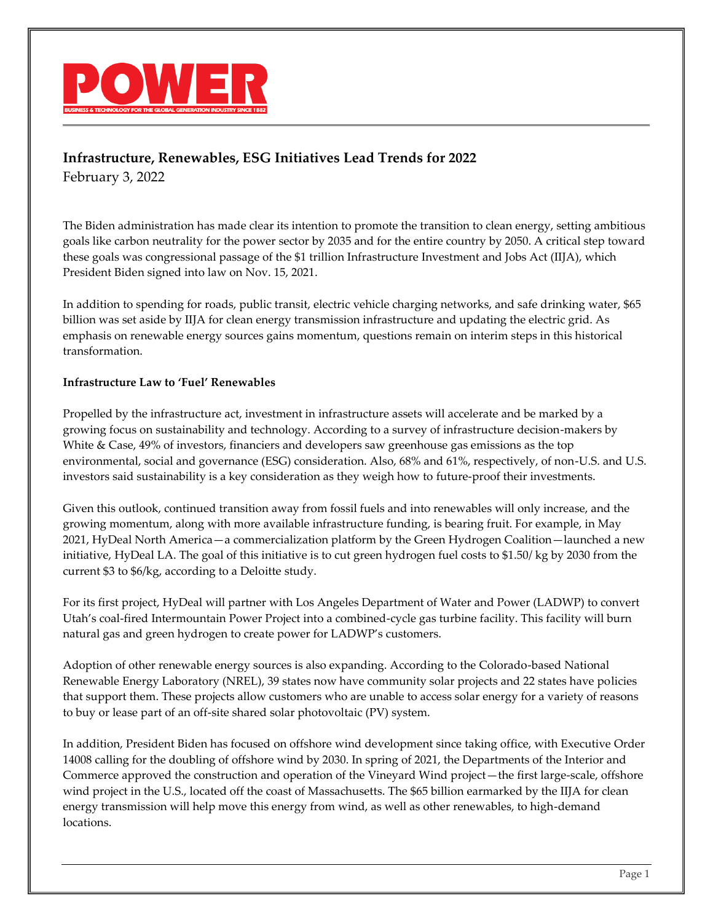

# **Infrastructure, Renewables, ESG Initiatives Lead Trends for 2022**

February 3, 2022

The Biden administration has made clear its intention to promote the transition to clean energy, setting ambitious goals like carbon neutrality for the power sector by 2035 and for the entire country by 2050. A critical step toward these goals was congressional passage of the \$1 trillion Infrastructure Investment and Jobs Act (IIJA), which President Biden signed into law on Nov. 15, 2021.

In addition to spending for roads, public transit, electric vehicle charging networks, and safe drinking water, \$65 billion was set aside by IIJA for clean energy transmission infrastructure and updating the electric grid. As emphasis on renewable energy sources gains momentum, questions remain on interim steps in this historical transformation.

#### **Infrastructure Law to 'Fuel' Renewables**

Propelled by the infrastructure act, investment in infrastructure assets will accelerate and be marked by a growing focus on sustainability and technology. According to a survey of infrastructure decision-makers by White & Case, 49% of investors, financiers and developers saw greenhouse gas emissions as the top environmental, social and governance (ESG) consideration. Also, 68% and 61%, respectively, of non-U.S. and U.S. investors said sustainability is a key consideration as they weigh how to future-proof their investments.

Given this outlook, continued transition away from fossil fuels and into renewables will only increase, and the growing momentum, along with more available infrastructure funding, is bearing fruit. For example, in May 2021, HyDeal North America—a commercialization platform by the Green Hydrogen Coalition—launched a new initiative, HyDeal LA. The goal of this initiative is to cut green hydrogen fuel costs to \$1.50/ kg by 2030 from the current \$3 to \$6/kg, according to a Deloitte study.

For its first project, HyDeal will partner with Los Angeles Department of Water and Power (LADWP) to convert Utah's coal-fired Intermountain Power Project into a combined-cycle gas turbine facility. This facility will burn natural gas and green hydrogen to create power for LADWP's customers.

Adoption of other renewable energy sources is also expanding. According to the Colorado-based National Renewable Energy Laboratory (NREL), 39 states now have community solar projects and 22 states have policies that support them. These projects allow customers who are unable to access solar energy for a variety of reasons to buy or lease part of an off-site shared solar photovoltaic (PV) system.

In addition, President Biden has focused on offshore wind development since taking office, with Executive Order 14008 calling for the doubling of offshore wind by 2030. In spring of 2021, the Departments of the Interior and Commerce approved the construction and operation of the Vineyard Wind project—the first large-scale, offshore wind project in the U.S., located off the coast of Massachusetts. The \$65 billion earmarked by the IIJA for clean energy transmission will help move this energy from wind, as well as other renewables, to high-demand locations.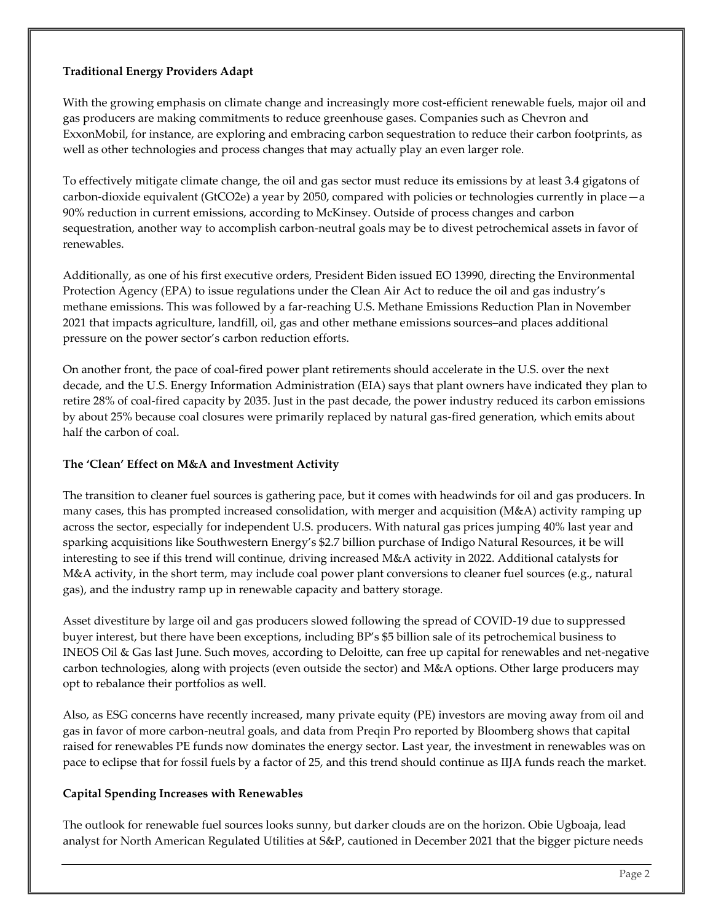## **Traditional Energy Providers Adapt**

With the growing emphasis on climate change and increasingly more cost-efficient renewable fuels, major oil and gas producers are making commitments to reduce greenhouse gases. Companies such as Chevron and ExxonMobil, for instance, are exploring and embracing carbon sequestration to reduce their carbon footprints, as well as other technologies and process changes that may actually play an even larger role.

To effectively mitigate climate change, the oil and gas sector must reduce its emissions by at least 3.4 gigatons of carbon-dioxide equivalent (GtCO2e) a year by 2050, compared with policies or technologies currently in place—a 90% reduction in current emissions, according to McKinsey. Outside of process changes and carbon sequestration, another way to accomplish carbon-neutral goals may be to divest petrochemical assets in favor of renewables.

Additionally, as one of his first executive orders, President Biden issued EO 13990, directing the Environmental Protection Agency (EPA) to issue regulations under the Clean Air Act to reduce the oil and gas industry's methane emissions. This was followed by a far-reaching U.S. Methane Emissions Reduction Plan in November 2021 that impacts agriculture, landfill, oil, gas and other methane emissions sources–and places additional pressure on the power sector's carbon reduction efforts.

On another front, the pace of coal-fired power plant retirements should accelerate in the U.S. over the next decade, and the U.S. Energy Information Administration (EIA) says that plant owners have indicated they plan to retire 28% of coal-fired capacity by 2035. Just in the past decade, the power industry reduced its carbon emissions by about 25% because coal closures were primarily replaced by natural gas-fired generation, which emits about half the carbon of coal.

## **The 'Clean' Effect on M&A and Investment Activity**

The transition to cleaner fuel sources is gathering pace, but it comes with headwinds for oil and gas producers. In many cases, this has prompted increased consolidation, with merger and acquisition (M&A) activity ramping up across the sector, especially for independent U.S. producers. With natural gas prices jumping 40% last year and sparking acquisitions like Southwestern Energy's \$2.7 billion purchase of Indigo Natural Resources, it be will interesting to see if this trend will continue, driving increased M&A activity in 2022. Additional catalysts for M&A activity, in the short term, may include coal power plant conversions to cleaner fuel sources (e.g., natural gas), and the industry ramp up in renewable capacity and battery storage.

Asset divestiture by large oil and gas producers slowed following the spread of COVID-19 due to suppressed buyer interest, but there have been exceptions, including BP's \$5 billion sale of its petrochemical business to INEOS Oil & Gas last June. Such moves, according to Deloitte, can free up capital for renewables and net-negative carbon technologies, along with projects (even outside the sector) and M&A options. Other large producers may opt to rebalance their portfolios as well.

Also, as ESG concerns have recently increased, many private equity (PE) investors are moving away from oil and gas in favor of more carbon-neutral goals, and data from Preqin Pro reported by Bloomberg shows that capital raised for renewables PE funds now dominates the energy sector. Last year, the investment in renewables was on pace to eclipse that for fossil fuels by a factor of 25, and this trend should continue as IIJA funds reach the market.

#### **Capital Spending Increases with Renewables**

The outlook for renewable fuel sources looks sunny, but darker clouds are on the horizon. Obie Ugboaja, lead analyst for North American Regulated Utilities at S&P, cautioned in December 2021 that the bigger picture needs